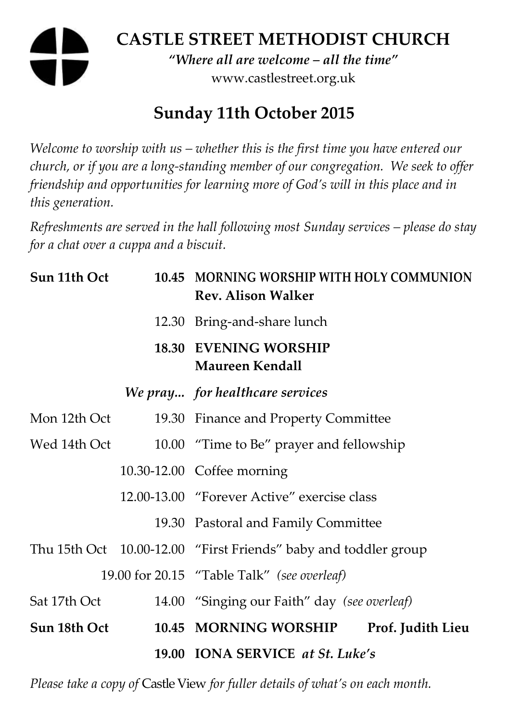# **CASTLE STREET METHODIST CHURCH**

*"Where all are welcome – all the time"*  www.castlestreet.org.uk

# **Sunday 11th October 2015**

*Welcome to worship with us – whether this is the first time you have entered our church, or if you are a long-standing member of our congregation. We seek to offer friendship and opportunities for learning more of God's will in this place and in this generation.* 

*Refreshments are served in the hall following most Sunday services – please do stay for a chat over a cuppa and a biscuit.* 

| Sun 11th Oct | 10.45 MORNING WORSHIP WITH HOLY COMMUNION<br><b>Rev. Alison Walker</b> |
|--------------|------------------------------------------------------------------------|
|              | 12.30 Bring-and-share lunch                                            |
|              | <b>18.30 EVENING WORSHIP</b><br>Maureen Kendall                        |
|              | We pray for healthcare services                                        |
| Mon 12th Oct | 19.30 Finance and Property Committee                                   |
| Wed 14th Oct | 10.00 "Time to Be" prayer and fellowship                               |
|              | 10.30-12.00 Coffee morning                                             |
|              | 12.00-13.00 "Forever Active" exercise class                            |
|              | 19.30 Pastoral and Family Committee                                    |
|              | Thu 15th Oct 10.00-12.00 "First Friends" baby and toddler group        |
|              | 19.00 for 20.15 "Table Talk" (see overleaf)                            |
| Sat 17th Oct | 14.00 "Singing our Faith" day (see overleaf)                           |
| Sun 18th Oct | 10.45 MORNING WORSHIP<br>Prof. Judith Lieu                             |
|              | 19.00 IONA SERVICE at St. Luke's                                       |

*Please take a copy of* Castle View *for fuller details of what's on each month.*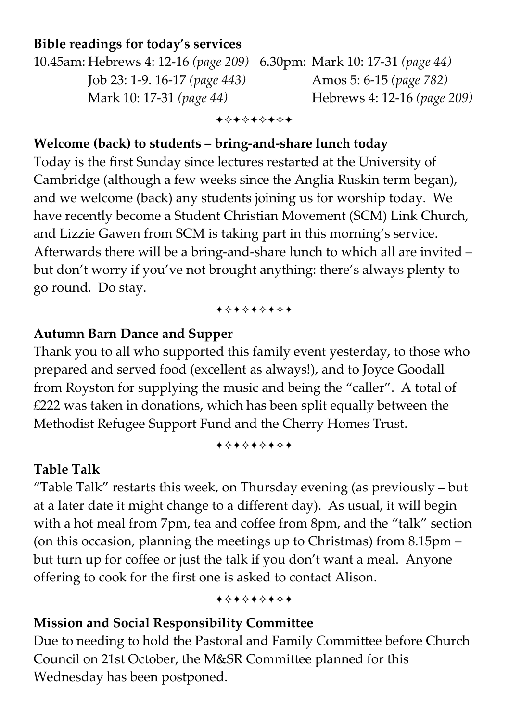#### **Bible readings for today's services**

10.45am: Hebrews 4: 12-16 *(page 209)* 6.30pm: Mark 10: 17-31 *(page 44)* Job 23: 1-9. 16-17 *(page 443)* Amos 5: 6-15 *(page 782)*  Mark 10: 17-31 *(page 44)* Hebrews 4: 12-16 *(page 209)* 

+\*\*\*\*\*\*\*

#### **Welcome (back) to students – bring-and-share lunch today**

Today is the first Sunday since lectures restarted at the University of Cambridge (although a few weeks since the Anglia Ruskin term began), and we welcome (back) any students joining us for worship today. We have recently become a Student Christian Movement (SCM) Link Church, and Lizzie Gawen from SCM is taking part in this morning's service. Afterwards there will be a bring-and-share lunch to which all are invited – but don't worry if you've not brought anything: there's always plenty to go round. Do stay.

#### +\*\*\*\*\*\*\*

#### **Autumn Barn Dance and Supper**

Thank you to all who supported this family event yesterday, to those who prepared and served food (excellent as always!), and to Joyce Goodall from Royston for supplying the music and being the "caller". A total of £222 was taken in donations, which has been split equally between the Methodist Refugee Support Fund and the Cherry Homes Trust.

+\*+\*\*\*\*\*

#### **Table Talk**

"Table Talk" restarts this week, on Thursday evening (as previously – but at a later date it might change to a different day). As usual, it will begin with a hot meal from 7pm, tea and coffee from 8pm, and the "talk" section (on this occasion, planning the meetings up to Christmas) from 8.15pm – but turn up for coffee or just the talk if you don't want a meal. Anyone offering to cook for the first one is asked to contact Alison.

+\*+\*\*\*\*\*

#### **Mission and Social Responsibility Committee**

Due to needing to hold the Pastoral and Family Committee before Church Council on 21st October, the M&SR Committee planned for this Wednesday has been postponed.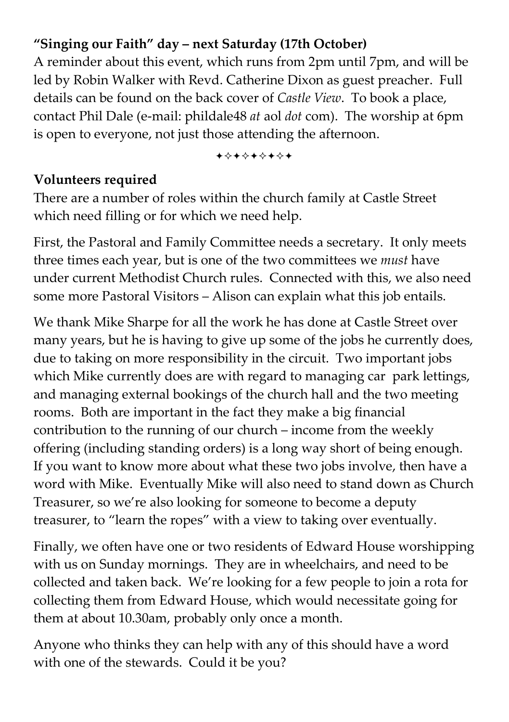### **"Singing our Faith" day – next Saturday (17th October)**

A reminder about this event, which runs from 2pm until 7pm, and will be led by Robin Walker with Revd. Catherine Dixon as guest preacher. Full details can be found on the back cover of *Castle View*. To book a place, contact Phil Dale (e-mail: phildale48 *at* aol *dot* com). The worship at 6pm is open to everyone, not just those attending the afternoon.

+\*\*\*\*\*\*\*

#### **Volunteers required**

There are a number of roles within the church family at Castle Street which need filling or for which we need help.

First, the Pastoral and Family Committee needs a secretary. It only meets three times each year, but is one of the two committees we *must* have under current Methodist Church rules. Connected with this, we also need some more Pastoral Visitors – Alison can explain what this job entails.

We thank Mike Sharpe for all the work he has done at Castle Street over many years, but he is having to give up some of the jobs he currently does, due to taking on more responsibility in the circuit. Two important jobs which Mike currently does are with regard to managing car park lettings, and managing external bookings of the church hall and the two meeting rooms. Both are important in the fact they make a big financial contribution to the running of our church – income from the weekly offering (including standing orders) is a long way short of being enough. If you want to know more about what these two jobs involve, then have a word with Mike. Eventually Mike will also need to stand down as Church Treasurer, so we're also looking for someone to become a deputy treasurer, to "learn the ropes" with a view to taking over eventually.

Finally, we often have one or two residents of Edward House worshipping with us on Sunday mornings. They are in wheelchairs, and need to be collected and taken back. We're looking for a few people to join a rota for collecting them from Edward House, which would necessitate going for them at about 10.30am, probably only once a month.

Anyone who thinks they can help with any of this should have a word with one of the stewards. Could it be you?